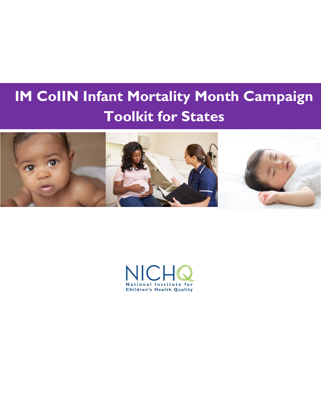## **IM CoIIN Infant Mortality Month Campaign Toolkit for States**  $\overline{\phantom{a}}$ I

j



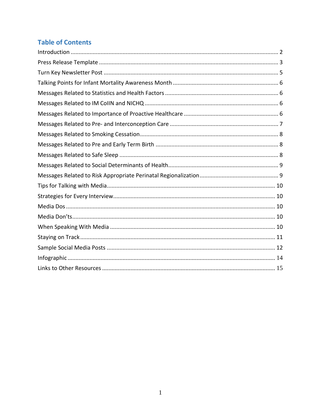# **Table of Contents**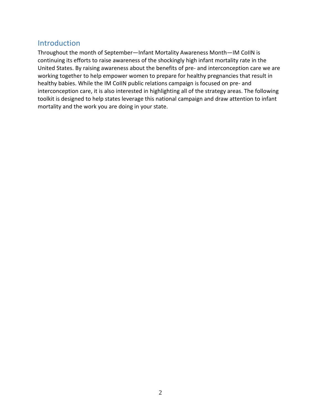## <span id="page-2-0"></span>Introduction

Throughout the month of September—Infant Mortality Awareness Month—IM CoIIN is continuing its efforts to raise awareness of the shockingly high infant mortality rate in the United States. By raising awareness about the benefits of pre- and interconception care we are working together to help empower women to prepare for healthy pregnancies that result in healthy babies. While the IM CoIIN public relations campaign is focused on pre- and interconception care, it is also interested in highlighting all of the strategy areas. The following toolkit is designed to help states leverage this national campaign and draw attention to infant mortality and the work you are doing in your state.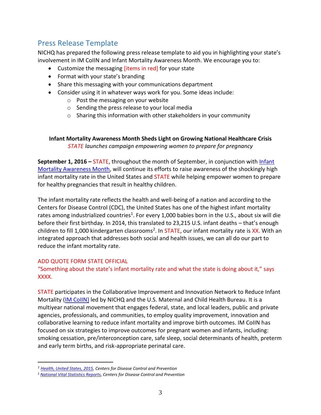## <span id="page-3-0"></span>Press Release Template

NICHQ has prepared the following press release template to aid you in highlighting your state's involvement in IM CoIIN and Infant Mortality Awareness Month. We encourage you to:

- Customize the messaging [items in red] for your state
- Format with your state's branding
- Share this messaging with your communications department
- Consider using it in whatever ways work for you. Some ideas include:
	- o Post the messaging on your website
	- o Sending the press release to your local media
	- o Sharing this information with other stakeholders in your community

**Infant Mortality Awareness Month Sheds Light on Growing National Healthcare Crisis** *STATE launches campaign empowering women to prepare for pregnancy* 

**September 1, 2016 – STATE, throughout the month of September, in conjunction with Infant** [Mortality Awareness Month,](http://www.cdc.gov/features/infantmortality/) will continue its efforts to raise awareness of the shockingly high infant mortality rate in the United States and STATE while helping empower women to prepare for healthy pregnancies that result in healthy children.

The infant mortality rate reflects the health and well-being of a nation and according to the Centers for Disease Control (CDC), the United States has one of the highest infant mortality rates among industrialized countries<sup>1</sup>. For every 1,000 babies born in the U.S., about six will die before their first birthday. In 2014, this translated to 23,215 U.S. infant deaths – that's enough children to fill 1,000 kindergarten classrooms<sup>2</sup>. In STATE, our infant mortality rate is XX. With an integrated approach that addresses both social and health issues, we can all do our part to reduce the infant mortality rate.

#### ADD QUOTE FORM STATE OFFICIAL

 $\overline{a}$ 

#### "Something about the state's infant mortality rate and what the state is doing about it," says XXXX.

STATE participates in the Collaborative Improvement and Innovation Network to Reduce Infant Mortality [\(IM CoIIN\)](http://www.nichq.org/childrens-health/infant-health/coiin-to-reduce-infant-mortality) led by NICHQ and the U.S. Maternal and Child Health Bureau. It is a multiyear national movement that engages federal, state, and local leaders, public and private agencies, professionals, and communities, to employ quality improvement, innovation and collaborative learning to reduce infant mortality and improve birth outcomes. IM CoIIN has focused on six strategies to improve outcomes for pregnant women and infants, including: smoking cessation, pre/interconception care, safe sleep, social determinants of health, preterm and early term births, and risk-appropriate perinatal care.

*<sup>1</sup> [Health, United States, 2015,](http://www.cdc.gov/nchs/data/hus/hus15.pdf) Centers for Disease Control and Prevention*

<sup>2</sup> *[National Vital Statistics Reports](http://www.cdc.gov/nchs/data/nvsr/nvsr65/nvsr65_04.pdf)*, *Centers for Disease Control and Prevention*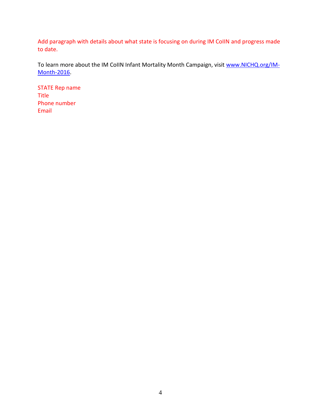Add paragraph with details about what state is focusing on during IM CoIIN and progress made to date.

To learn more about the IM CoIIN Infant Mortality Month Campaign, visit [www.NICHQ.org/IM-](http://www.nichq.org/IM-Month-2016)[Month-2016.](http://www.nichq.org/IM-Month-2016)

STATE Rep name Title Phone number Email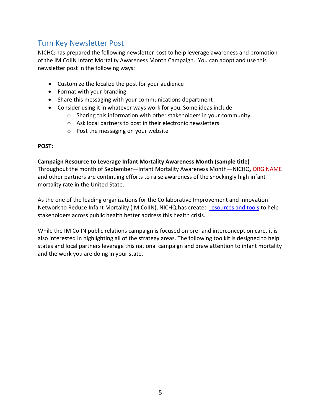## <span id="page-5-0"></span>Turn Key Newsletter Post

NICHQ has prepared the following newsletter post to help leverage awareness and promotion of the IM CoIIN Infant Mortality Awareness Month Campaign. You can adopt and use this newsletter post in the following ways:

- Customize the localize the post for your audience
- Format with your branding
- Share this messaging with your communications department
- Consider using it in whatever ways work for you. Some ideas include:
	- o Sharing this information with other stakeholders in your community
	- o Ask local partners to post in their electronic newsletters
	- o Post the messaging on your website

#### **POST:**

#### **Campaign Resource to Leverage Infant Mortality Awareness Month (sample title)**

Throughout the month of September—Infant Mortality Awareness Month—NICHQ, ORG NAME and other partners are continuing efforts to raise awareness of the shockingly high infant mortality rate in the United State.

As the one of the leading organizations for the Collaborative Improvement and Innovation Network to Reduce Infant Mortality (IM CoIIN), NICHQ has created [resources and tools](http://www.nichq.org/childrens-health/infant-health/coiin-to-reduce-infant-mortality/imm_prevention_steps) to help stakeholders across public health better address this health crisis.

While the IM CoIIN public relations campaign is focused on pre- and interconception care, it is also interested in highlighting all of the strategy areas. The following toolkit is designed to help states and local partners leverage this national campaign and draw attention to infant mortality and the work you are doing in your state.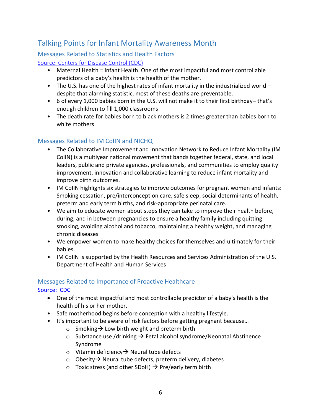## <span id="page-6-0"></span>Talking Points for Infant Mortality Awareness Month

## <span id="page-6-1"></span>Messages Related to Statistics and Health Factors

#### [Source: Centers for Disease Control \(CDC\)](http://www.cdc.gov/features/infantmortality/)

- Maternal Health = Infant Health. One of the most impactful and most controllable predictors of a baby's health is the health of the mother.
- The U.S. has one of the highest rates of infant mortality in the industrialized world despite that alarming statistic, most of these deaths are preventable.
- 6 of every 1,000 babies born in the U.S. will not make it to their first birthday– that's enough children to fill 1,000 classrooms
- The death rate for babies born to black mothers is 2 times greater than babies born to white mothers

## <span id="page-6-2"></span>Messages Related to IM CoIIN and NICHQ

- The Collaborative Improvement and Innovation Network to Reduce Infant Mortality (IM CoIIN) is a multiyear national movement that bands together federal, state, and local leaders, public and private agencies, professionals, and communities to employ quality improvement, innovation and collaborative learning to reduce infant mortality and improve birth outcomes.
- IM CoIIN highlights six strategies to improve outcomes for pregnant women and infants: Smoking cessation, pre/interconception care, safe sleep, social determinants of health, preterm and early term births, and risk-appropriate perinatal care.
- We aim to educate women about steps they can take to improve their health before, during, and in between pregnancies to ensure a healthy family including quitting smoking, avoiding alcohol and tobacco, maintaining a healthy weight, and managing chronic diseases
- We empower women to make healthy choices for themselves and ultimately for their babies.
- IM CollN is supported by the Health Resources and Services Administration of the U.S. Department of Health and Human Services

#### <span id="page-6-3"></span>Messages Related to Importance of Proactive Healthcare

#### [Source: CDC](http://www.cdc.gov/preconception/index.html)

- One of the most impactful and most controllable predictor of a baby's health is the health of his or her mother.
- Safe motherhood begins before conception with a healthy lifestyle.
- It's important to be aware of risk factors before getting pregnant because…
	- o Smoking  $\rightarrow$  Low birth weight and preterm birth
	- $\circ$  Substance use /drinking  $\rightarrow$  Fetal alcohol syndrome/Neonatal Abstinence Syndrome
	- $\circ$  Vitamin deficiency  $\rightarrow$  Neural tube defects
	- $\circ$  Obesity  $\rightarrow$  Neural tube defects, preterm delivery, diabetes
	- $\circ$  Toxic stress (and other SDoH)  $\rightarrow$  Pre/early term birth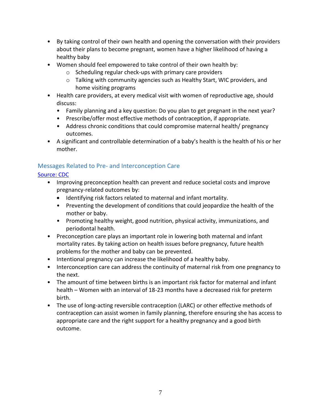- By taking control of their own health and opening the conversation with their providers about their plans to become pregnant, women have a higher likelihood of having a healthy baby
- Women should feel empowered to take control of their own health by:
	- o Scheduling regular check-ups with primary care providers
	- $\circ$  Talking with community agencies such as Healthy Start, WIC providers, and home visiting programs
- Health care providers, at every medical visit with women of reproductive age, should discuss:
	- Family planning and a key question: Do you plan to get pregnant in the next year?
	- Prescribe/offer most effective methods of contraception, if appropriate.
	- Address chronic conditions that could compromise maternal health/ pregnancy outcomes.
- A significant and controllable determination of a baby's health is the health of his or her mother.

# <span id="page-7-0"></span>Messages Related to Pre- and Interconception Care

### [Source: CDC](http://www.cdc.gov/reproductivehealth/maternalinfanthealth/index.html)

- Improving preconception health can prevent and reduce societal costs and improve pregnancy-related outcomes by:
	- Identifying risk factors related to maternal and infant mortality.
	- Preventing the development of conditions that could jeopardize the health of the mother or baby.
	- Promoting healthy weight, good nutrition, physical activity, immunizations, and periodontal health.
- Preconception care plays an important role in lowering both maternal and infant mortality rates. By taking action on health issues before pregnancy, future health problems for the mother and baby can be prevented.
- Intentional pregnancy can increase the likelihood of a healthy baby.
- Interconception care can address the continuity of maternal risk from one pregnancy to the next.
- The amount of time between births is an important risk factor for maternal and infant health – Women with an interval of 18-23 months have a decreased risk for preterm birth.
- The use of long-acting reversible contraception (LARC) or other effective methods of contraception can assist women in family planning, therefore ensuring she has access to appropriate care and the right support for a healthy pregnancy and a good birth outcome.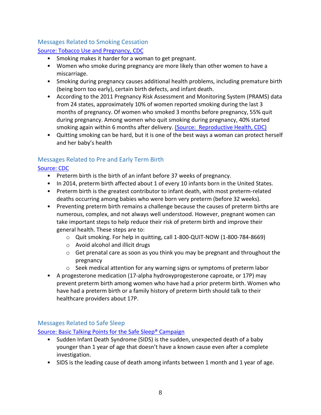#### <span id="page-8-0"></span>Messages Related to Smoking Cessation

#### [Source: Tobacco Use and Pregnancy, CDC](http://www.cdc.gov/reproductivehealth/maternalinfanthealth/tobaccousepregnancy/index.htm)

- Smoking makes it harder for a woman to get pregnant.
- Women who smoke during pregnancy are more likely than other women to have a miscarriage.
- Smoking during pregnancy causes additional health problems, including premature birth (being born too early), certain birth defects, and infant death.
- According to the 2011 Pregnancy Risk Assessment and Monitoring System (PRAMS) data from 24 states, approximately 10% of women reported smoking during the last 3 months of pregnancy. Of women who smoked 3 months before pregnancy, 55% quit during pregnancy. Among women who quit smoking during pregnancy, 40% started smoking again within 6 months after delivery. [\(Source: Reproductive Health, CDC\)](http://www.cdc.gov/reproductivehealth/maternalinfanthealth/pdf/healthcareprovidersinfo.pdf)
- Quitting smoking can be hard, but it is one of the best ways a woman can protect herself and her baby's health

## <span id="page-8-1"></span>Messages Related to Pre and Early Term Birth

#### [Source: CDC](http://www.cdc.gov/reproductivehealth/maternalinfanthealth/pretermbirth.htm)

- Preterm birth is the birth of an infant before 37 weeks of pregnancy.
- In 2014, preterm birth affected about 1 of every 10 infants born in the United States.
- Preterm birth is the greatest contributor to infant death, with most preterm-related deaths occurring among babies who were born very preterm (before 32 weeks).
- Preventing preterm birth remains a challenge because the causes of preterm births are numerous, complex, and not always well understood. However, pregnant women can take important steps to help reduce their risk of preterm birth and improve their general health. These steps are to:
	- $\circ$  Quit smoking. For help in quitting, call 1-800-QUIT-NOW (1-800-784-8669)
	- o Avoid alcohol and illicit drugs
	- $\circ$  Get prenatal care as soon as you think you may be pregnant and throughout the pregnancy
	- o Seek medical attention for any warning signs or symptoms of preterm labor
- A progesterone medication (17-alpha hydroxyprogesterone caproate, or 17P) may prevent preterm birth among women who have had a prior preterm birth. Women who have had a preterm birth or a family history of preterm birth should talk to their healthcare providers about 17P.

#### <span id="page-8-2"></span>Messages Related to Safe Sleep

Source: [Basic Talking Points for the Safe Sleep® Campaign](https://www.nichd.nih.gov/sts/news/etoolkit/Documents/TalkingPointsSafeToSleepCampaign.pdf)

- Sudden Infant Death Syndrome (SIDS) is the sudden, unexpected death of a baby younger than 1 year of age that doesn't have a known cause even after a complete investigation.
- SIDS is the leading cause of death among infants between 1 month and 1 year of age.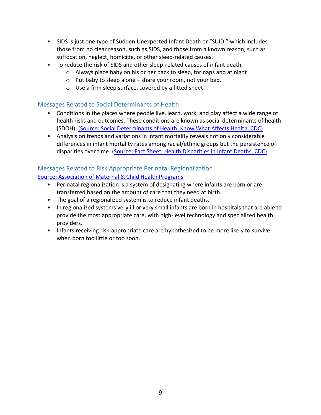- SIDS is just one type of Sudden Unexpected Infant Death or "SUID," which includes those from no clear reason, such as SIDS, and those from a known reason, such as suffocation, neglect, homicide, or other sleep-related causes.
- To reduce the risk of SIDS and other sleep-related causes of infant death,
	- o Always place baby on his or her back to sleep, for naps and at night
	- o Put baby to sleep alone share your room, not your bed.
	- o Use a firm sleep surface, covered by a fitted sheet

#### <span id="page-9-0"></span>Messages Related to Social Determinants of Health

- Conditions in the places where people live, learn, work, and play affect a wide range of health risks and outcomes. These conditions are known as social determinants of health (SDOH). (Source: [Social Determinants of Health: Know What Affects Health, CDC\)](http://www.cdc.gov/socialdeterminants/)
- Analysis on trends and variations in infant mortality reveals not only considerable differences in infant mortality rates among racial/ethnic groups but the persistence of disparities over time. (Source: [Fact Sheet: Health Disparities in Infant Deaths, CDC\)](http://www.cdc.gov/minorityhealth/CHDIR/2011/FactSheets/InfantDeath.pdf)

# <span id="page-9-1"></span>Messages Related to Risk Appropriate Perinatal Regionalization

#### [Source: Association of Maternal & Child Health Programs](http://www.amchp.org/programsandtopics/womens-health/Perinatal-Health/Perinatal-Regionalization/Pages/default.aspx)

- Perinatal regionalization is a system of designating where infants are born or are transferred based on the amount of care that they need at birth.
- The goal of a regionalized system is to reduce infant deaths.
- In regionalized systems very ill or very small infants are born in hospitals that are able to provide the most appropriate care, with high-level technology and specialized health providers.
- Infants receiving risk-appropriate care are hypothesized to be more likely to survive when born too little or too soon.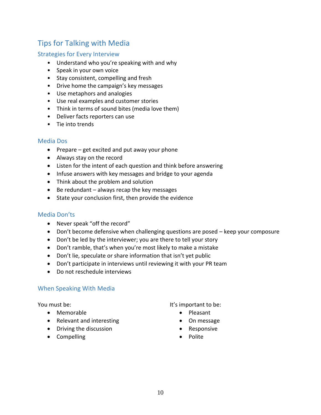# <span id="page-10-0"></span>Tips for Talking with Media

#### <span id="page-10-1"></span>Strategies for Every Interview

- Understand who you're speaking with and why
- Speak in your own voice
- Stay consistent, compelling and fresh
- Drive home the campaign's key messages
- Use metaphors and analogies
- Use real examples and customer stories
- Think in terms of sound bites (media love them)
- Deliver facts reporters can use
- Tie into trends

#### <span id="page-10-2"></span>Media Dos

- $\bullet$  Prepare get excited and put away your phone
- Always stay on the record
- Listen for the intent of each question and think before answering
- Infuse answers with key messages and bridge to your agenda
- Think about the problem and solution
- $\bullet$  Be redundant always recap the key messages
- State your conclusion first, then provide the evidence

#### <span id="page-10-3"></span>Media Don'ts

- Never speak "off the record"
- Don't become defensive when challenging questions are posed keep your composure
- Don't be led by the interviewer; you are there to tell your story
- Don't ramble, that's when you're most likely to make a mistake
- Don't lie, speculate or share information that isn't yet public
- Don't participate in interviews until reviewing it with your PR team
- Do not reschedule interviews

#### <span id="page-10-4"></span>When Speaking With Media

You must be:

- Memorable
- Relevant and interesting
- Driving the discussion
- Compelling

It's important to be:

- Pleasant
- On message
- Responsive
- Polite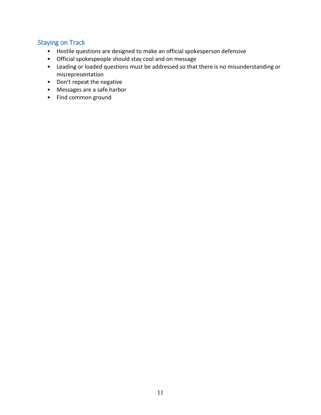## <span id="page-11-0"></span>Staying on Track

- Hostile questions are designed to make an official spokesperson defensive
- Official spokespeople should stay cool and on message
- Leading or loaded questions must be addressed so that there is no misunderstanding or misrepresentation
- Don't repeat the negative
- Messages are a safe harbor
- Find common ground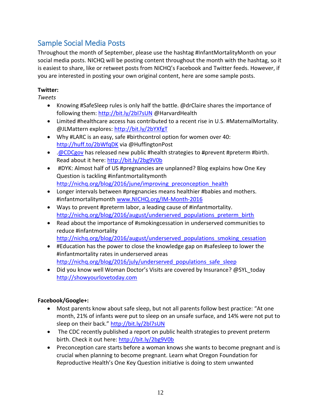# <span id="page-12-0"></span>Sample Social Media Posts

Throughout the month of September, please use the hashtag #InfantMortalityMonth on your social media posts. NICHQ will be posting content throughout the month with the hashtag, so it is easiest to share, like or retweet posts from NICHQ's Facebook and Twitter feeds. However, if you are interested in posting your own original content, here are some sample posts.

### **Twitter:**

*Tweets*

- Knowing #SafeSleep rules is only half the battle. @drClaire shares the importance of following them:<http://bit.ly/2bl7sUN> @HarvardHealth
- Limited #healthcare access has contributed to a recent rise in U.S. #MaternalMortality. @JLMattern explores:<http://bit.ly/2bYXfgT>
- Why #LARC is an easy, safe #birthcontrol option for women over 40: <http://huff.to/2bWfqDK> via @HuffingtonPost
- $\bullet$  . @CDCgov has released new public #health strategies to #prevent #preterm #birth. Read about it here:<http://bit.ly/2bg9V0b>
- #DYK: Almost half of US #pregnancies are unplanned? Blog explains how One Key Question is tackling #infantmortalitymonth http://nichq.org/blog/2016/june/improving preconception health
- Longer intervals between #pregnancies means healthier #babies and mothers. #infantmortalitymonth [www.NICHQ.org/IM-Month-2016](http://www.nichq.org/IM-Month-2016)
- Ways to prevent #preterm labor, a leading cause of #infantmortality. [http://nichq.org/blog/2016/august/underserved\\_populations\\_preterm\\_birth](http://nichq.org/blog/2016/august/underserved_populations_preterm_birth)
- Read about the importance of #smokingcessation in underserved communities to reduce #infantmortality http://nichq.org/blog/2016/august/underserved populations smoking cessation
- #Education has the power to close the knowledge gap on #safesleep to lower the #infantmortality rates in underserved areas http://nichq.org/blog/2016/july/underserved populations safe sleep
- Did you know well Woman Doctor's Visits are covered by Insurance? @SYL\_today [http://showyourlovetoday.com](http://showyourlovetoday.com/)

#### **Facebook/Google+:**

- Most parents know about safe sleep, but not all parents follow best practice: "At one month, 21% of infants were put to sleep on an unsafe surface, and 14% were not put to sleep on their back." <http://bit.ly/2bl7sUN>
- The CDC recently published a report on public health strategies to prevent preterm birth. Check it out here:<http://bit.ly/2bg9V0b>
- Preconception care starts before a woman knows she wants to become pregnant and is crucial when planning to become pregnant. Learn what Oregon Foundation for Reproductive Health's One Key Question initiative is doing to stem unwanted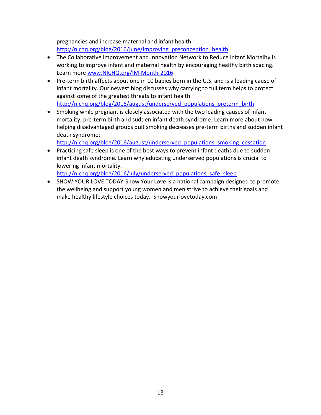pregnancies and increase maternal and infant health [http://nichq.org/blog/2016/june/improving\\_preconception\\_health](http://nichq.org/blog/2016/june/improving_preconception_health)

- The Collaborative Improvement and Innovation Network to Reduce Infant Mortality is working to improve infant and maternal health by encouraging healthy birth spacing. Learn mor[e www.NICHQ.org/IM-Month-2016](http://www.nichq.org/IM-Month-2016)
- Pre-term birth affects about one in 10 babies born in the U.S. and is a leading cause of infant mortality. Our newest blog discusses why carrying to full term helps to protect against some of the greatest threats to infant health http://nichq.org/blog/2016/august/underserved populations preterm birth
- Smoking while pregnant is closely associated with the two leading causes of infant mortality, pre-term birth and sudden infant death syndrome. Learn more about how helping disadvantaged groups quit smoking decreases pre-term births and sudden infant death syndrome:

[http://nichq.org/blog/2016/august/underserved\\_populations\\_smoking\\_cessation](http://nichq.org/blog/2016/august/underserved_populations_smoking_cessation)

 Practicing safe sleep is one of the best ways to prevent infant deaths due to sudden infant death syndrome. Learn why educating underserved populations is crucial to lowering infant mortality.

http://nichq.org/blog/2016/july/underserved populations safe sleep

• SHOW YOUR LOVE TODAY-Show Your Love is a national campaign designed to promote the wellbeing and support young women and men strive to achieve their goals and make healthy lifestyle choices today. Showyourlovetoday.com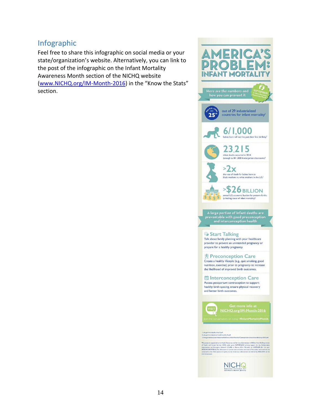## <span id="page-14-0"></span>Infographic

Feel free to share this infographic on social media or your state/organization's website. Alternatively, you can link to the post of the infographic on the Infant Mortality Awareness Month section of the NICHQ website [\(www.NICHQ.org/IM-Month-2016](http://www.nichq.org/IM-Month-2016)) in the "Know the Stats" section.